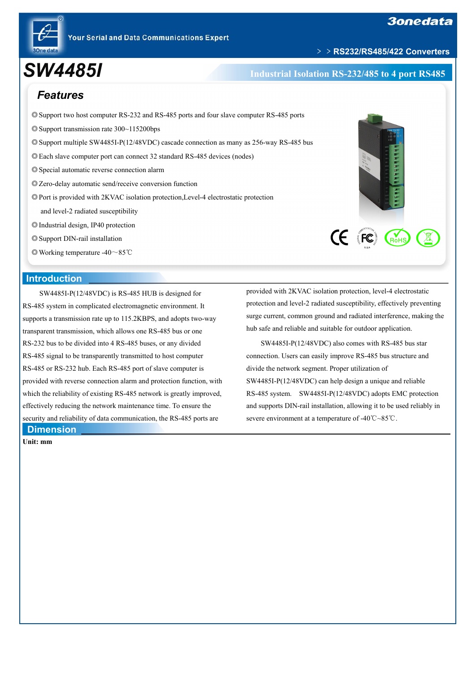

# ﹥﹥**RS232/RS485/422 Converters**

# *SW4485I* **Industrial Isolation RS-232/485 to <sup>4</sup> port RS485**

# *Features*

- ◎Support two host computer RS-232 and RS-485 ports and four slave computer RS-485 ports
- ◎Support transmission rate 300~115200bps
- ◎Support multiple SW4485I-P(12/48VDC) cascade connection as many as 256-way RS-485 bus
- ◎Each slave computer port can connect 32 standard RS-485 devices (nodes)
- ◎Special automatic reverse connection alarm
- ◎Zero-delay automatic send/receive conversion function
- ◎Port is provided with 2KVAC isolation protection,Level-4 electrostatic protection
	- and level-2 radiated susceptibility
- ◎Industrial design, IP40 protection
- ◎Support DIN-rail installation
- ◎Working temperature -40~85℃

## **Introduction**

SW4485I-P(12/48VDC) is RS-485 HUB is designed for RS-485 system in complicated electromagnetic environment. It supports a transmission rate up to 115.2KBPS, and adopts two-way transparent transmission, which allows one RS-485 bus orone RS-232 bus to be divided into 4 RS-485 buses, or any divided RS-485 signal to be transparently transmitted to host computer RS-485 or RS-232 hub. Each RS-485 port of slave computer is provided with reverse connection alarm and protection function, with which the reliability of existing RS-485 network is greatly improved, effectively reducing the network maintenance time. To ensure the security and reliability of data communication, the RS-485 ports are **Dimension**

**Unit: mm**



provided with 2KVAC isolation protection, level-4 electrostatic protection and level-2 radiated susceptibility, effectively preventing surge current, common ground and radiated interference, making the hub safe and reliable and suitable for outdoor application.

SW4485I-P(12/48VDC) also comes with RS-485 bus star connection. Users can easily improve RS-485 bus structure and divide the network segment. Proper utilization of SW4485I-P(12/48VDC) can help design a unique and reliable RS-485 system. SW4485I-P(12/48VDC) adopts EMC protection and supports DIN-rail installation, allowing it to be used reliably in severe environment at a temperature of -40℃~85℃.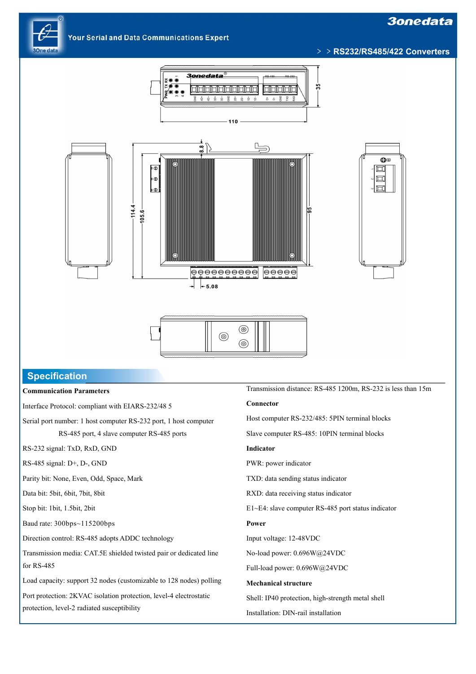# **3onedata**

**Your Serial and Data Communications Expert** 







# **Specification**

#### **Communication Parameters**

Interface Protocol: compliant with EIARS-232/48 5

Serial port number: 1 host computer RS-232 port, 1 host computer RS-485 port, 4 slave computer RS-485 ports

RS-232 signal: TxD, RxD, GND

RS-485 signal: D+,D-, GND

Parity bit: None, Even, Odd, Space, Mark

Data bit: 5bit, 6bit, 7bit, 8bit

Stop bit: 1bit, 1.5bit, 2bit

Baud rate: 300bps~115200bps

Direction control: RS-485 adopts ADDC technology

Transmission media: CAT.5E shielded twisted pair or dedicated line for RS-485

Load capacity: support 32 nodes (customizable to 128 nodes) polling

Port protection: 2KVAC isolation protection, level-4 electrostatic protection, level-2 radiated susceptibility

Transmission distance: RS-485 1200m, RS-232 is less than 15m

#### **Connector**

Host computer RS-232/485: 5PIN terminal blocks

Slave computer RS-485: 10PIN terminal blocks

#### **Indicator**

PWR: power indicator

TXD: data sending status indicator

RXD: data receiving status indicator

E1~E4: slave computer RS-485 port status indicator

#### **Power**

Input voltage: 12-48VDC

No-load power: 0.696W@24VDC

Full-load power: 0.696W@24VDC

#### **Mechanical structure**

Shell: IP40 protection, high-strength metal shell

Installation: DIN-rail installation